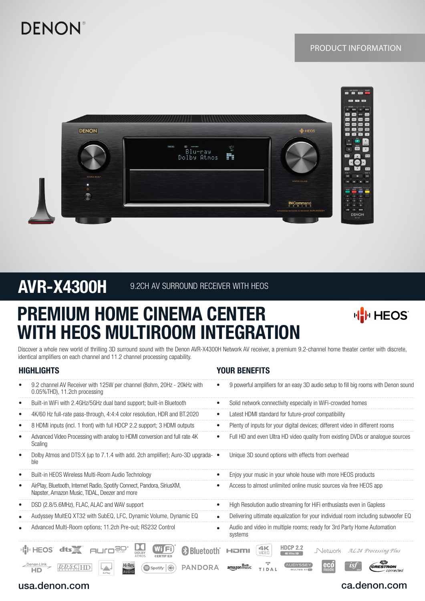# **DENON®**

# PRODUCT INFORMATION



# AVR-X4300H 9.2CH AV SURROUND RECEIVER WITH HEOS

# PREMIUM HOME CINEMA CENTER WITH HEOS MULTIROOM INTEGRATION



Discover a whole new world of thrilling 3D surround sound with the Denon AVR-X4300H Network AV receiver, a premium 9.2-channel home theater center with discrete, identical amplifiers on each channel and 11.2 channel processing capability.

## HIGHLIGHTS YOUR BENEFITS

| 9.2 channel AV Receiver with 125W per channel (80hm, 20Hz - 20KHz with<br>0.05%THD), 11.2ch processing                        | 9 powerful amplifiers for an easy 3D audio setup to fill big rooms with Denon sound       |
|-------------------------------------------------------------------------------------------------------------------------------|-------------------------------------------------------------------------------------------|
| Built-in WiFi with 2.4GHz/5GHz dual band support; built-in Bluetooth<br>٠                                                     | Solid network connectivity especially in WiFi-crowded homes                               |
| 4K/60 Hz full-rate pass-through, 4:4:4 color resolution, HDR and BT.2020<br>٠                                                 | Latest HDMI standard for future-proof compatibility                                       |
| 8 HDMI inputs (incl. 1 front) with full HDCP 2.2 support; 3 HDMI outputs<br>٠                                                 | Plenty of inputs for your digital devices; different video in different rooms             |
| Advanced Video Processing with analog to HDMI conversion and full rate 4K<br>٠<br>Scaling                                     | Full HD and even Ultra HD video quality from existing DVDs or analogue sources            |
| Dolby Atmos and DTS:X (up to 7.1.4 with add. 2ch amplifier); Auro-3D upgrada- ●<br>٠<br>ble                                   | Unique 3D sound options with effects from overhead                                        |
| Built-in HEOS Wireless Multi-Room Audio Technology<br>٠                                                                       | Enjoy your music in your whole house with more HEOS products                              |
| AirPlay, Bluetooth, Internet Radio, Spotify Connect, Pandora, SiriusXM,<br>٠<br>Napster, Amazon Music, TIDAL, Deezer and more | Access to almost unlimited online music sources via free HEOS app                         |
| DSD (2.8/5.6MHz), FLAC, ALAC and WAV support<br>٠                                                                             | High Resolution audio streaming for HiFi enthusiasts even in Gapless                      |
| Audyssey MultEQ XT32 with SubEQ, LFC, Dynamic Volume, Dynamic EQ<br>$\bullet$                                                 | Delivering ultimate equalization for your individual room including subwoofer EQ          |
| Advanced Multi-Room options; 11.2ch Pre-out; RS232 Control                                                                    | Audio and video in multiple rooms; ready for 3rd Party Home Automation<br>systems         |
| Wi (Fi)<br><b>HIMHEOS</b><br><b>83 Bluetooth</b><br>dts $\equiv$<br><b>DOLBY</b><br>ATMOS<br><b>CERTIFIED</b>                 | <b>HDCP 2.2</b><br>4K<br>Network<br>AL 24 Processing Plus<br>HƏMI<br>VIDEO<br>4K Ultra HD |
| Denon Link<br><b>Hi-Res</b><br>Spotify<br>PANDORA<br>$\binom{1}{1}$<br>HD<br><b>AUDIO</b>                                     | eco<br>ALIDYSSEY<br>amazonmusi<br>TIDAL<br><b>MULTEO XTRE</b><br>mode                     |

# usa.denon.com

# ca.denon.com